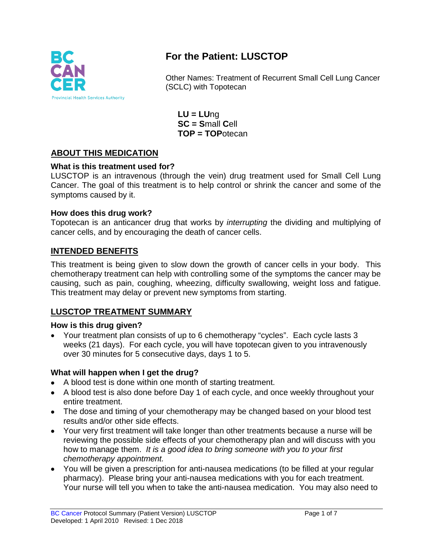

# **For the Patient: LUSCTOP**

Other Names: Treatment of Recurrent Small Cell Lung Cancer (SCLC) with Topotecan

**LU = LU**ng **SC = S**mall **C**ell **TOP = TOP**otecan

### **ABOUT THIS MEDICATION**

### **What is this treatment used for?**

LUSCTOP is an intravenous (through the vein) drug treatment used for Small Cell Lung Cancer. The goal of this treatment is to help control or shrink the cancer and some of the symptoms caused by it.

### **How does this drug work?**

Topotecan is an anticancer drug that works by *interrupting* the dividing and multiplying of cancer cells, and by encouraging the death of cancer cells.

### **INTENDED BENEFITS**

This treatment is being given to slow down the growth of cancer cells in your body. This chemotherapy treatment can help with controlling some of the symptoms the cancer may be causing, such as pain, coughing, wheezing, difficulty swallowing, weight loss and fatigue. This treatment may delay or prevent new symptoms from starting.

### **LUSCTOP TREATMENT SUMMARY**

#### **How is this drug given?**

• Your treatment plan consists of up to 6 chemotherapy "cycles". Each cycle lasts 3 weeks (21 days). For each cycle, you will have topotecan given to you intravenously over 30 minutes for 5 consecutive days, days 1 to 5.

### **What will happen when I get the drug?**

- A blood test is done within one month of starting treatment.
- A blood test is also done before Day 1 of each cycle, and once weekly throughout your entire treatment.
- The dose and timing of your chemotherapy may be changed based on your blood test results and/or other side effects.
- Your very first treatment will take longer than other treatments because a nurse will be reviewing the possible side effects of your chemotherapy plan and will discuss with you how to manage them. *It is a good idea to bring someone with you to your first chemotherapy appointment.*
- You will be given a prescription for anti-nausea medications (to be filled at your regular pharmacy). Please bring your anti-nausea medications with you for each treatment. Your nurse will tell you when to take the anti-nausea medication. You may also need to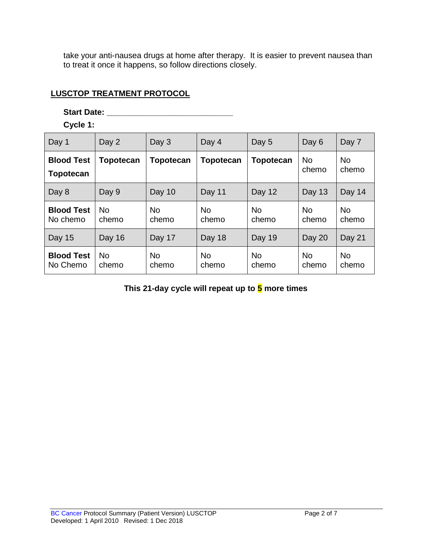take your anti-nausea drugs at home after therapy. It is easier to prevent nausea than to treat it once it happens, so follow directions closely.

#### **LUSCTOP TREATMENT PROTOCOL**

**Start Date: \_\_\_\_\_\_\_\_\_\_\_\_\_\_\_\_\_\_\_\_\_\_\_\_\_\_\_\_**

**Cycle 1:**

| Day 1                                 | Day 2              | Day 3              | Day 4              | Day 5              | Day 6              | Day 7              |
|---------------------------------------|--------------------|--------------------|--------------------|--------------------|--------------------|--------------------|
| <b>Blood Test</b><br><b>Topotecan</b> | <b>Topotecan</b>   | <b>Topotecan</b>   | <b>Topotecan</b>   | <b>Topotecan</b>   | <b>No</b><br>chemo | <b>No</b><br>chemo |
| Day 8                                 | Day 9              | Day 10             | Day 11             | Day 12             | Day 13             | Day 14             |
| <b>Blood Test</b><br>No chemo         | <b>No</b><br>chemo | <b>No</b><br>chemo | <b>No</b><br>chemo | <b>No</b><br>chemo | <b>No</b><br>chemo | <b>No</b><br>chemo |
| Day 15                                | Day 16             | Day 17             | Day 18             | Day 19             | Day 20             | Day 21             |
| <b>Blood Test</b><br>No Chemo         | <b>No</b><br>chemo | <b>No</b><br>chemo | <b>No</b><br>chemo | <b>No</b><br>chemo | <b>No</b><br>chemo | <b>No</b><br>chemo |

**This 21-day cycle will repeat up to 5 more times**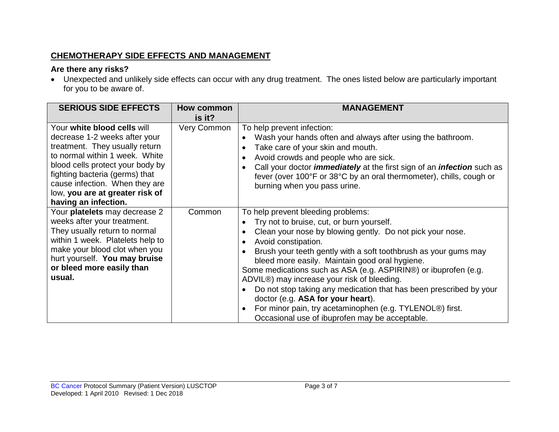# **CHEMOTHERAPY SIDE EFFECTS AND MANAGEMENT**

### **Are there any risks?**

• Unexpected and unlikely side effects can occur with any drug treatment. The ones listed below are particularly important for you to be aware of.

| <b>SERIOUS SIDE EFFECTS</b>                                                                                                                                                                                                                                                                         | <b>How common</b><br>is it? | <b>MANAGEMENT</b>                                                                                                                                                                                                                                                                                                                                                                                                                                                                                                                                                                                                                   |
|-----------------------------------------------------------------------------------------------------------------------------------------------------------------------------------------------------------------------------------------------------------------------------------------------------|-----------------------------|-------------------------------------------------------------------------------------------------------------------------------------------------------------------------------------------------------------------------------------------------------------------------------------------------------------------------------------------------------------------------------------------------------------------------------------------------------------------------------------------------------------------------------------------------------------------------------------------------------------------------------------|
| Your white blood cells will<br>decrease 1-2 weeks after your<br>treatment. They usually return<br>to normal within 1 week. White<br>blood cells protect your body by<br>fighting bacteria (germs) that<br>cause infection. When they are<br>low, you are at greater risk of<br>having an infection. | Very Common                 | To help prevent infection:<br>Wash your hands often and always after using the bathroom.<br>Take care of your skin and mouth.<br>Avoid crowds and people who are sick.<br>Call your doctor <i>immediately</i> at the first sign of an <i>infection</i> such as<br>fever (over 100°F or 38°C by an oral thermometer), chills, cough or<br>burning when you pass urine.                                                                                                                                                                                                                                                               |
| Your platelets may decrease 2<br>weeks after your treatment.<br>They usually return to normal<br>within 1 week. Platelets help to<br>make your blood clot when you<br>hurt yourself. You may bruise<br>or bleed more easily than<br>usual.                                                          | Common                      | To help prevent bleeding problems:<br>Try not to bruise, cut, or burn yourself.<br>Clean your nose by blowing gently. Do not pick your nose.<br>Avoid constipation.<br>Brush your teeth gently with a soft toothbrush as your gums may<br>bleed more easily. Maintain good oral hygiene.<br>Some medications such as ASA (e.g. ASPIRIN®) or ibuprofen (e.g.<br>ADVIL®) may increase your risk of bleeding.<br>Do not stop taking any medication that has been prescribed by your<br>doctor (e.g. ASA for your heart).<br>For minor pain, try acetaminophen (e.g. TYLENOL®) first.<br>Occasional use of ibuprofen may be acceptable. |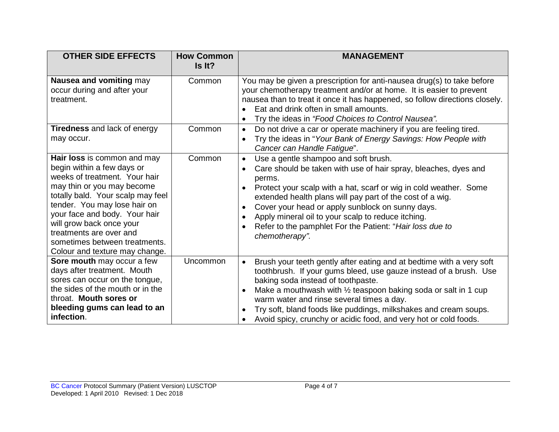| <b>OTHER SIDE EFFECTS</b>                                                                                                                                                                                                                                                                                                                                | <b>How Common</b><br>Is It? | <b>MANAGEMENT</b>                                                                                                                                                                                                                                                                                                                                                                                                                                                                                                         |
|----------------------------------------------------------------------------------------------------------------------------------------------------------------------------------------------------------------------------------------------------------------------------------------------------------------------------------------------------------|-----------------------------|---------------------------------------------------------------------------------------------------------------------------------------------------------------------------------------------------------------------------------------------------------------------------------------------------------------------------------------------------------------------------------------------------------------------------------------------------------------------------------------------------------------------------|
| Nausea and vomiting may<br>occur during and after your<br>treatment.                                                                                                                                                                                                                                                                                     | Common                      | You may be given a prescription for anti-nausea drug(s) to take before<br>your chemotherapy treatment and/or at home. It is easier to prevent<br>nausea than to treat it once it has happened, so follow directions closely.<br>Eat and drink often in small amounts.<br>Try the ideas in "Food Choices to Control Nausea".                                                                                                                                                                                               |
| <b>Tiredness</b> and lack of energy<br>may occur.                                                                                                                                                                                                                                                                                                        | Common                      | Do not drive a car or operate machinery if you are feeling tired.<br>$\bullet$<br>Try the ideas in "Your Bank of Energy Savings: How People with<br>$\bullet$<br>Cancer can Handle Fatigue".                                                                                                                                                                                                                                                                                                                              |
| Hair loss is common and may<br>begin within a few days or<br>weeks of treatment. Your hair<br>may thin or you may become<br>totally bald. Your scalp may feel<br>tender. You may lose hair on<br>your face and body. Your hair<br>will grow back once your<br>treatments are over and<br>sometimes between treatments.<br>Colour and texture may change. | Common                      | Use a gentle shampoo and soft brush.<br>$\bullet$<br>Care should be taken with use of hair spray, bleaches, dyes and<br>$\bullet$<br>perms.<br>Protect your scalp with a hat, scarf or wig in cold weather. Some<br>$\bullet$<br>extended health plans will pay part of the cost of a wig.<br>Cover your head or apply sunblock on sunny days.<br>$\bullet$<br>Apply mineral oil to your scalp to reduce itching.<br>$\bullet$<br>Refer to the pamphlet For the Patient: "Hair loss due to<br>$\bullet$<br>chemotherapy". |
| Sore mouth may occur a few<br>days after treatment. Mouth<br>sores can occur on the tongue,<br>the sides of the mouth or in the<br>throat. Mouth sores or<br>bleeding gums can lead to an<br>infection.                                                                                                                                                  | Uncommon                    | Brush your teeth gently after eating and at bedtime with a very soft<br>$\bullet$<br>toothbrush. If your gums bleed, use gauze instead of a brush. Use<br>baking soda instead of toothpaste.<br>Make a mouthwash with $\frac{1}{2}$ teaspoon baking soda or salt in 1 cup<br>$\bullet$<br>warm water and rinse several times a day.<br>Try soft, bland foods like puddings, milkshakes and cream soups.<br>Avoid spicy, crunchy or acidic food, and very hot or cold foods.                                               |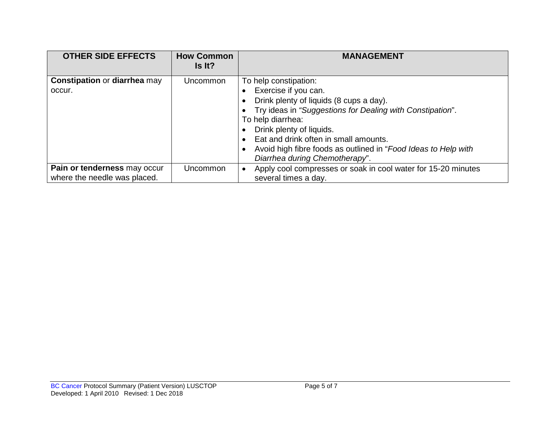| <b>OTHER SIDE EFFECTS</b>                                    | <b>How Common</b><br>Is It? | <b>MANAGEMENT</b>                                                                                                                                                                                                                                                                                                                                                |
|--------------------------------------------------------------|-----------------------------|------------------------------------------------------------------------------------------------------------------------------------------------------------------------------------------------------------------------------------------------------------------------------------------------------------------------------------------------------------------|
| <b>Constipation or diarrhea may</b><br>occur.                | Uncommon                    | To help constipation:<br>Exercise if you can.<br>Drink plenty of liquids (8 cups a day).<br>Try ideas in "Suggestions for Dealing with Constipation".<br>To help diarrhea:<br>Drink plenty of liquids.<br>Eat and drink often in small amounts.<br>$\bullet$<br>Avoid high fibre foods as outlined in "Food Ideas to Help with<br>Diarrhea during Chemotherapy". |
| Pain or tenderness may occur<br>where the needle was placed. | Uncommon                    | Apply cool compresses or soak in cool water for 15-20 minutes<br>several times a day.                                                                                                                                                                                                                                                                            |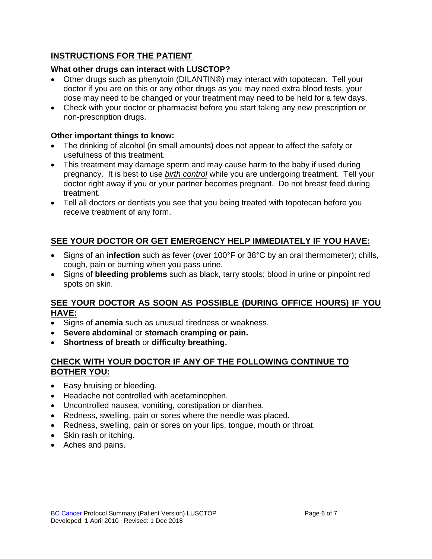## **INSTRUCTIONS FOR THE PATIENT**

### **What other drugs can interact with LUSCTOP?**

- Other drugs such as phenytoin (DILANTIN®) may interact with topotecan. Tell your doctor if you are on this or any other drugs as you may need extra blood tests, your dose may need to be changed or your treatment may need to be held for a few days.
- Check with your doctor or pharmacist before you start taking any new prescription or non-prescription drugs.

### **Other important things to know:**

- The drinking of alcohol (in small amounts) does not appear to affect the safety or usefulness of this treatment.
- This treatment may damage sperm and may cause harm to the baby if used during pregnancy. It is best to use *birth control* while you are undergoing treatment. Tell your doctor right away if you or your partner becomes pregnant. Do not breast feed during treatment.
- Tell all doctors or dentists you see that you being treated with topotecan before you receive treatment of any form.

# **SEE YOUR DOCTOR OR GET EMERGENCY HELP IMMEDIATELY IF YOU HAVE:**

- Signs of an **infection** such as fever (over 100°F or 38°C by an oral thermometer); chills, cough, pain or burning when you pass urine.
- Signs of **bleeding problems** such as black, tarry stools; blood in urine or pinpoint red spots on skin.

### **SEE YOUR DOCTOR AS SOON AS POSSIBLE (DURING OFFICE HOURS) IF YOU HAVE:**

- Signs of **anemia** such as unusual tiredness or weakness.
- **Severe abdominal** or **stomach cramping or pain.**
- **Shortness of breath** or **difficulty breathing.**

### **CHECK WITH YOUR DOCTOR IF ANY OF THE FOLLOWING CONTINUE TO BOTHER YOU:**

- Easy bruising or bleeding.
- Headache not controlled with acetaminophen.
- Uncontrolled nausea, vomiting, constipation or diarrhea.
- Redness, swelling, pain or sores where the needle was placed.
- Redness, swelling, pain or sores on your lips, tongue, mouth or throat.
- Skin rash or itching.
- Aches and pains.